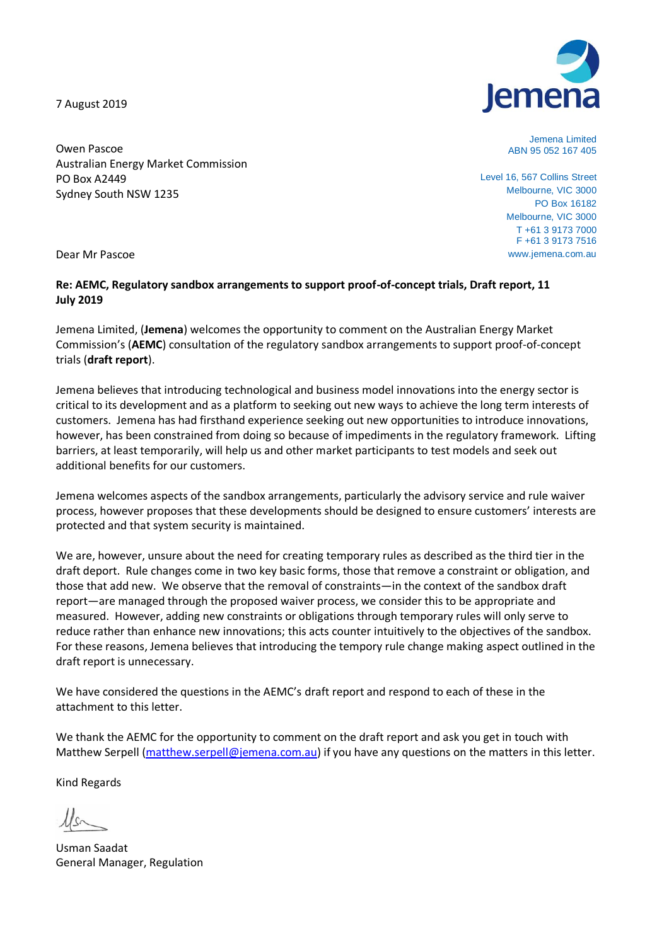7 August 2019



Jemena Limited ABN 95 052 167 405

Level 16, 567 Collins Street Melbourne, VIC 3000 PO Box 16182 Melbourne, VIC 3000 T +61 3 9173 7000 F +61 3 9173 7516 www.jemena.com.au

Owen Pascoe Australian Energy Market Commission PO Box A2449 Sydney South NSW 1235

Dear Mr Pascoe

## **Re: AEMC, Regulatory sandbox arrangements to support proof-of-concept trials, Draft report, 11 July 2019**

Jemena Limited, (**Jemena**) welcomes the opportunity to comment on the Australian Energy Market Commission's (**AEMC**) consultation of the regulatory sandbox arrangements to support proof-of-concept trials (**draft report**).

Jemena believes that introducing technological and business model innovations into the energy sector is critical to its development and as a platform to seeking out new ways to achieve the long term interests of customers. Jemena has had firsthand experience seeking out new opportunities to introduce innovations, however, has been constrained from doing so because of impediments in the regulatory framework. Lifting barriers, at least temporarily, will help us and other market participants to test models and seek out additional benefits for our customers.

Jemena welcomes aspects of the sandbox arrangements, particularly the advisory service and rule waiver process, however proposes that these developments should be designed to ensure customers' interests are protected and that system security is maintained.

We are, however, unsure about the need for creating temporary rules as described as the third tier in the draft deport. Rule changes come in two key basic forms, those that remove a constraint or obligation, and those that add new. We observe that the removal of constraints—in the context of the sandbox draft report—are managed through the proposed waiver process, we consider this to be appropriate and measured. However, adding new constraints or obligations through temporary rules will only serve to reduce rather than enhance new innovations; this acts counter intuitively to the objectives of the sandbox. For these reasons, Jemena believes that introducing the tempory rule change making aspect outlined in the draft report is unnecessary.

We have considered the questions in the AEMC's draft report and respond to each of these in the attachment to this letter.

We thank the AEMC for the opportunity to comment on the draft report and ask you get in touch with Matthew Serpell [\(matthew.serpell@jemena.com.au\)](mailto:matthew.serpell@jemena.com.au) if you have any questions on the matters in this letter.

Kind Regards

Usman Saadat General Manager, Regulation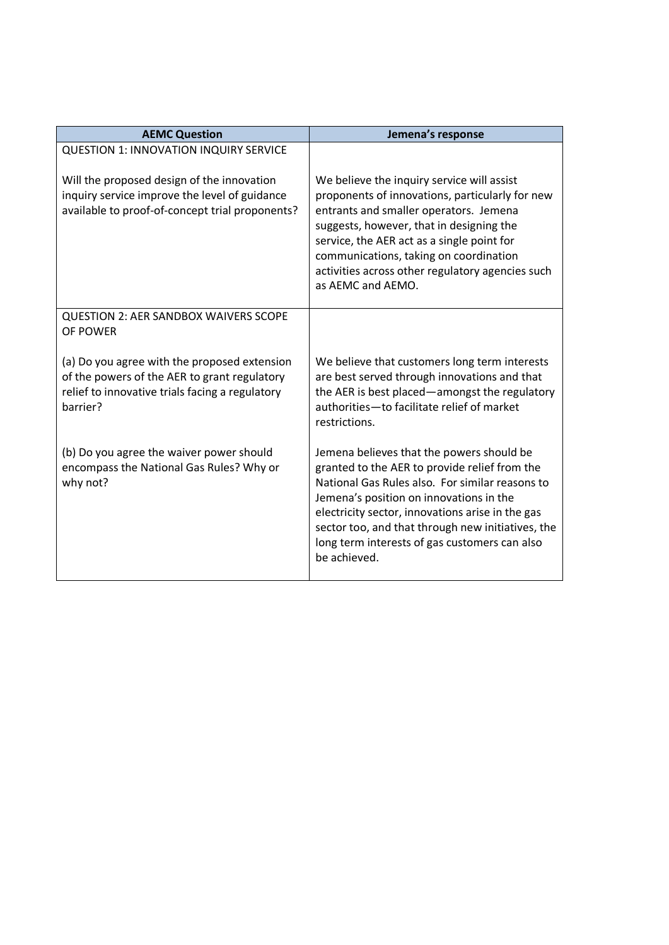| <b>AEMC Question</b>                                                                                                                                        | Jemena's response                                                                                                                                                                                                                                                                                                                                                  |
|-------------------------------------------------------------------------------------------------------------------------------------------------------------|--------------------------------------------------------------------------------------------------------------------------------------------------------------------------------------------------------------------------------------------------------------------------------------------------------------------------------------------------------------------|
| <b>QUESTION 1: INNOVATION INQUIRY SERVICE</b>                                                                                                               |                                                                                                                                                                                                                                                                                                                                                                    |
| Will the proposed design of the innovation<br>inquiry service improve the level of guidance<br>available to proof-of-concept trial proponents?              | We believe the inquiry service will assist<br>proponents of innovations, particularly for new<br>entrants and smaller operators. Jemena<br>suggests, however, that in designing the<br>service, the AER act as a single point for<br>communications, taking on coordination<br>activities across other regulatory agencies such<br>as AEMC and AEMO.               |
| <b>QUESTION 2: AER SANDBOX WAIVERS SCOPE</b><br>OF POWER                                                                                                    |                                                                                                                                                                                                                                                                                                                                                                    |
| (a) Do you agree with the proposed extension<br>of the powers of the AER to grant regulatory<br>relief to innovative trials facing a regulatory<br>barrier? | We believe that customers long term interests<br>are best served through innovations and that<br>the AER is best placed-amongst the regulatory<br>authorities-to facilitate relief of market<br>restrictions.                                                                                                                                                      |
| (b) Do you agree the waiver power should<br>encompass the National Gas Rules? Why or<br>why not?                                                            | Jemena believes that the powers should be<br>granted to the AER to provide relief from the<br>National Gas Rules also. For similar reasons to<br>Jemena's position on innovations in the<br>electricity sector, innovations arise in the gas<br>sector too, and that through new initiatives, the<br>long term interests of gas customers can also<br>be achieved. |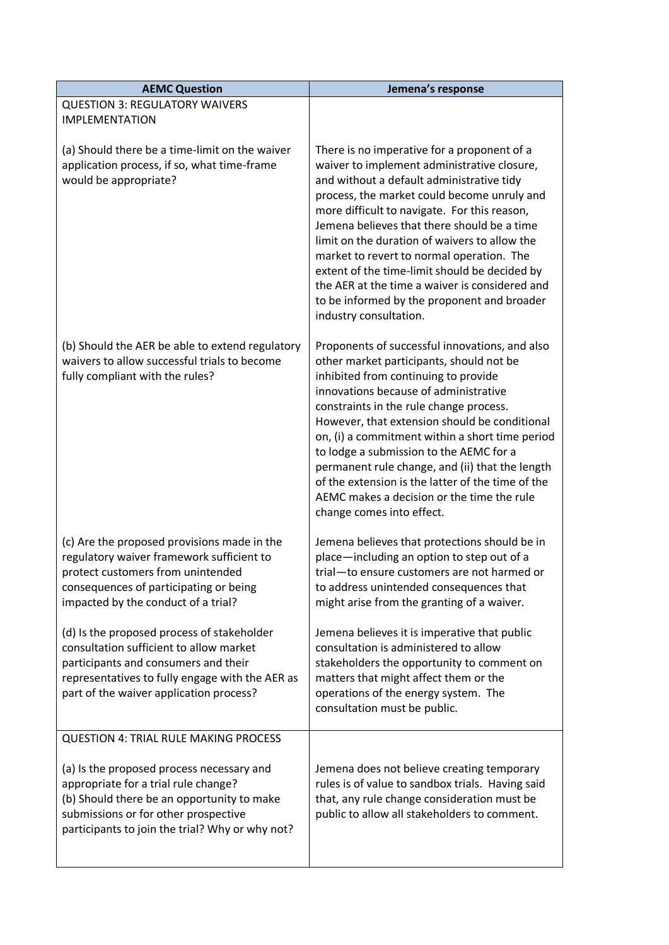| <b>AEMC Question</b>                                                                                                                                                                                                        | Jemena's response                                                                                                                                                                                                                                                                                                                                                                                                                                                                                                                                               |
|-----------------------------------------------------------------------------------------------------------------------------------------------------------------------------------------------------------------------------|-----------------------------------------------------------------------------------------------------------------------------------------------------------------------------------------------------------------------------------------------------------------------------------------------------------------------------------------------------------------------------------------------------------------------------------------------------------------------------------------------------------------------------------------------------------------|
| <b>QUESTION 3: REGULATORY WAIVERS</b><br><b>IMPLEMENTATION</b>                                                                                                                                                              |                                                                                                                                                                                                                                                                                                                                                                                                                                                                                                                                                                 |
| (a) Should there be a time-limit on the waiver<br>application process, if so, what time-frame<br>would be appropriate?                                                                                                      | There is no imperative for a proponent of a<br>waiver to implement administrative closure,<br>and without a default administrative tidy<br>process, the market could become unruly and<br>more difficult to navigate. For this reason,<br>Jemena believes that there should be a time<br>limit on the duration of waivers to allow the<br>market to revert to normal operation. The<br>extent of the time-limit should be decided by<br>the AER at the time a waiver is considered and<br>to be informed by the proponent and broader<br>industry consultation. |
| (b) Should the AER be able to extend regulatory<br>waivers to allow successful trials to become<br>fully compliant with the rules?                                                                                          | Proponents of successful innovations, and also<br>other market participants, should not be<br>inhibited from continuing to provide<br>innovations because of administrative<br>constraints in the rule change process.<br>However, that extension should be conditional<br>on, (i) a commitment within a short time period<br>to lodge a submission to the AEMC for a<br>permanent rule change, and (ii) that the length<br>of the extension is the latter of the time of the<br>AEMC makes a decision or the time the rule<br>change comes into effect.        |
| (c) Are the proposed provisions made in the<br>regulatory waiver framework sufficient to<br>protect customers from unintended<br>consequences of participating or being<br>impacted by the conduct of a trial?              | Jemena believes that protections should be in<br>place-including an option to step out of a<br>trial-to ensure customers are not harmed or<br>to address unintended consequences that<br>might arise from the granting of a waiver.                                                                                                                                                                                                                                                                                                                             |
| (d) Is the proposed process of stakeholder<br>consultation sufficient to allow market<br>participants and consumers and their<br>representatives to fully engage with the AER as<br>part of the waiver application process? | Jemena believes it is imperative that public<br>consultation is administered to allow<br>stakeholders the opportunity to comment on<br>matters that might affect them or the<br>operations of the energy system. The<br>consultation must be public.                                                                                                                                                                                                                                                                                                            |
| <b>QUESTION 4: TRIAL RULE MAKING PROCESS</b>                                                                                                                                                                                |                                                                                                                                                                                                                                                                                                                                                                                                                                                                                                                                                                 |
| (a) Is the proposed process necessary and<br>appropriate for a trial rule change?<br>(b) Should there be an opportunity to make<br>submissions or for other prospective<br>participants to join the trial? Why or why not?  | Jemena does not believe creating temporary<br>rules is of value to sandbox trials. Having said<br>that, any rule change consideration must be<br>public to allow all stakeholders to comment.                                                                                                                                                                                                                                                                                                                                                                   |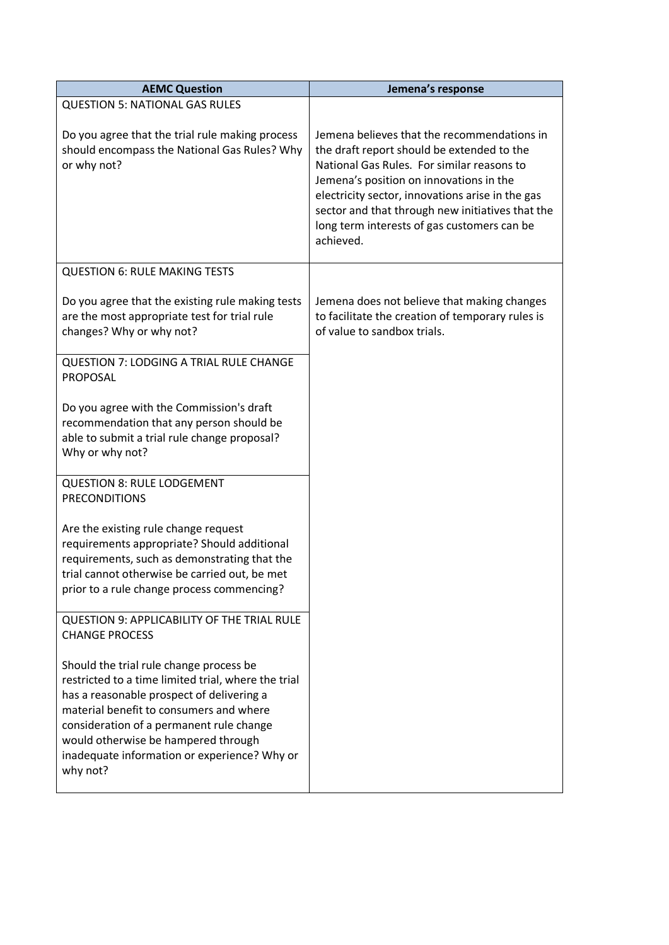| <b>AEMC Question</b>                                                                                                                                                                                                                                                                                                                  | Jemena's response                                                                                                                                                                                                                                                                                                                                      |
|---------------------------------------------------------------------------------------------------------------------------------------------------------------------------------------------------------------------------------------------------------------------------------------------------------------------------------------|--------------------------------------------------------------------------------------------------------------------------------------------------------------------------------------------------------------------------------------------------------------------------------------------------------------------------------------------------------|
| <b>QUESTION 5: NATIONAL GAS RULES</b>                                                                                                                                                                                                                                                                                                 |                                                                                                                                                                                                                                                                                                                                                        |
| Do you agree that the trial rule making process<br>should encompass the National Gas Rules? Why<br>or why not?                                                                                                                                                                                                                        | Jemena believes that the recommendations in<br>the draft report should be extended to the<br>National Gas Rules. For similar reasons to<br>Jemena's position on innovations in the<br>electricity sector, innovations arise in the gas<br>sector and that through new initiatives that the<br>long term interests of gas customers can be<br>achieved. |
| <b>QUESTION 6: RULE MAKING TESTS</b>                                                                                                                                                                                                                                                                                                  |                                                                                                                                                                                                                                                                                                                                                        |
| Do you agree that the existing rule making tests<br>are the most appropriate test for trial rule<br>changes? Why or why not?                                                                                                                                                                                                          | Jemena does not believe that making changes<br>to facilitate the creation of temporary rules is<br>of value to sandbox trials.                                                                                                                                                                                                                         |
| <b>QUESTION 7: LODGING A TRIAL RULE CHANGE</b><br><b>PROPOSAL</b>                                                                                                                                                                                                                                                                     |                                                                                                                                                                                                                                                                                                                                                        |
| Do you agree with the Commission's draft<br>recommendation that any person should be<br>able to submit a trial rule change proposal?<br>Why or why not?                                                                                                                                                                               |                                                                                                                                                                                                                                                                                                                                                        |
| <b>QUESTION 8: RULE LODGEMENT</b><br><b>PRECONDITIONS</b>                                                                                                                                                                                                                                                                             |                                                                                                                                                                                                                                                                                                                                                        |
| Are the existing rule change request<br>requirements appropriate? Should additional<br>requirements, such as demonstrating that the<br>trial cannot otherwise be carried out, be met<br>prior to a rule change process commencing?                                                                                                    |                                                                                                                                                                                                                                                                                                                                                        |
| QUESTION 9: APPLICABILITY OF THE TRIAL RULE<br><b>CHANGE PROCESS</b>                                                                                                                                                                                                                                                                  |                                                                                                                                                                                                                                                                                                                                                        |
| Should the trial rule change process be<br>restricted to a time limited trial, where the trial<br>has a reasonable prospect of delivering a<br>material benefit to consumers and where<br>consideration of a permanent rule change<br>would otherwise be hampered through<br>inadequate information or experience? Why or<br>why not? |                                                                                                                                                                                                                                                                                                                                                        |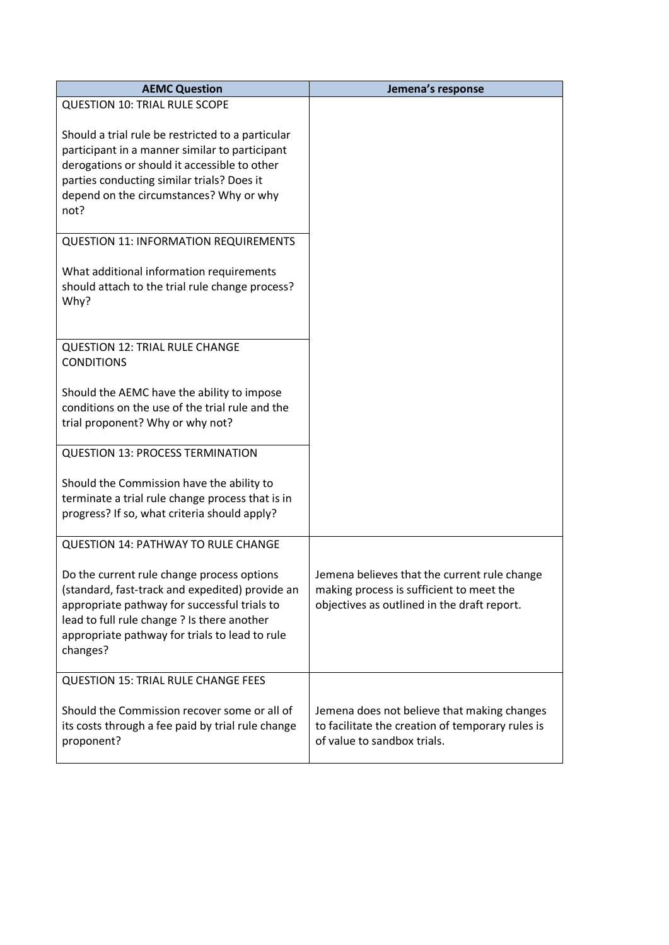| <b>AEMC Question</b>                                                                                                                                                                                                                                       | Jemena's response                                                                                                                       |
|------------------------------------------------------------------------------------------------------------------------------------------------------------------------------------------------------------------------------------------------------------|-----------------------------------------------------------------------------------------------------------------------------------------|
| <b>QUESTION 10: TRIAL RULE SCOPE</b>                                                                                                                                                                                                                       |                                                                                                                                         |
| Should a trial rule be restricted to a particular<br>participant in a manner similar to participant<br>derogations or should it accessible to other<br>parties conducting similar trials? Does it<br>depend on the circumstances? Why or why<br>not?       |                                                                                                                                         |
| <b>QUESTION 11: INFORMATION REQUIREMENTS</b>                                                                                                                                                                                                               |                                                                                                                                         |
| What additional information requirements<br>should attach to the trial rule change process?<br>Why?                                                                                                                                                        |                                                                                                                                         |
| <b>QUESTION 12: TRIAL RULE CHANGE</b><br><b>CONDITIONS</b>                                                                                                                                                                                                 |                                                                                                                                         |
| Should the AEMC have the ability to impose<br>conditions on the use of the trial rule and the<br>trial proponent? Why or why not?                                                                                                                          |                                                                                                                                         |
| <b>QUESTION 13: PROCESS TERMINATION</b>                                                                                                                                                                                                                    |                                                                                                                                         |
| Should the Commission have the ability to<br>terminate a trial rule change process that is in<br>progress? If so, what criteria should apply?                                                                                                              |                                                                                                                                         |
| <b>QUESTION 14: PATHWAY TO RULE CHANGE</b>                                                                                                                                                                                                                 |                                                                                                                                         |
| Do the current rule change process options<br>(standard, fast-track and expedited) provide an<br>appropriate pathway for successful trials to<br>lead to full rule change ? Is there another<br>appropriate pathway for trials to lead to rule<br>changes? | Jemena believes that the current rule change<br>making process is sufficient to meet the<br>objectives as outlined in the draft report. |
| <b>QUESTION 15: TRIAL RULE CHANGE FEES</b>                                                                                                                                                                                                                 |                                                                                                                                         |
| Should the Commission recover some or all of<br>its costs through a fee paid by trial rule change<br>proponent?                                                                                                                                            | Jemena does not believe that making changes<br>to facilitate the creation of temporary rules is<br>of value to sandbox trials.          |